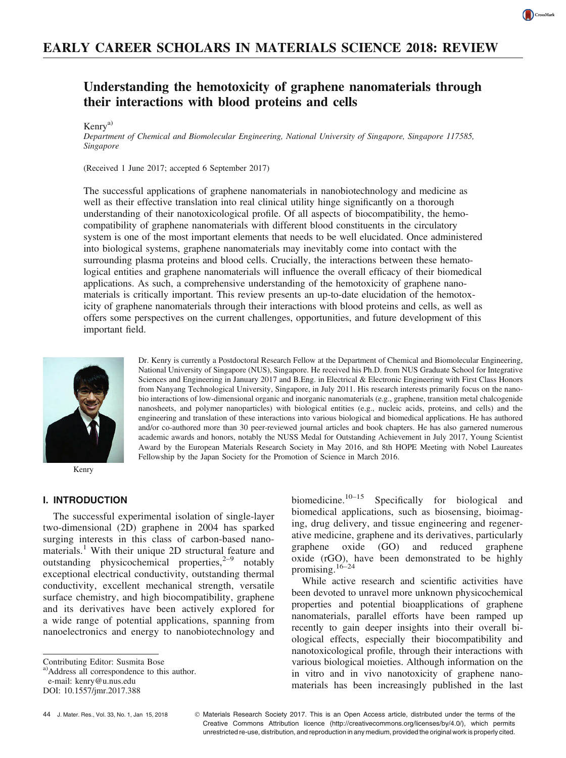# EARLY CAREER SCHOLARS IN MATERIALS SCIENCE 2018: REVIEW

## Understanding the hemotoxicity of graphene nanomaterials through their interactions with blood proteins and cells

Kenrya)

Department of Chemical and Biomolecular Engineering, National University of Singapore, Singapore 117585, Singapore

(Received 1 June 2017; accepted 6 September 2017)

The successful applications of graphene nanomaterials in nanobiotechnology and medicine as well as their effective translation into real clinical utility hinge significantly on a thorough understanding of their nanotoxicological profile. Of all aspects of biocompatibility, the hemocompatibility of graphene nanomaterials with different blood constituents in the circulatory system is one of the most important elements that needs to be well elucidated. Once administered into biological systems, graphene nanomaterials may inevitably come into contact with the surrounding plasma proteins and blood cells. Crucially, the interactions between these hematological entities and graphene nanomaterials will influence the overall efficacy of their biomedical applications. As such, a comprehensive understanding of the hemotoxicity of graphene nanomaterials is critically important. This review presents an up-to-date elucidation of the hemotoxicity of graphene nanomaterials through their interactions with blood proteins and cells, as well as offers some perspectives on the current challenges, opportunities, and future development of this important field.



Kenry

Dr. Kenry is currently a Postdoctoral Research Fellow at the Department of Chemical and Biomolecular Engineering, National University of Singapore (NUS), Singapore. He received his Ph.D. from NUS Graduate School for Integrative Sciences and Engineering in January 2017 and B.Eng. in Electrical & Electronic Engineering with First Class Honors from Nanyang Technological University, Singapore, in July 2011. His research interests primarily focus on the nanobio interactions of low-dimensional organic and inorganic nanomaterials (e.g., graphene, transition metal chalcogenide nanosheets, and polymer nanoparticles) with biological entities (e.g., nucleic acids, proteins, and cells) and the engineering and translation of these interactions into various biological and biomedical applications. He has authored and/or co-authored more than 30 peer-reviewed journal articles and book chapters. He has also garnered numerous academic awards and honors, notably the NUSS Medal for Outstanding Achievement in July 2017, Young Scientist Award by the European Materials Research Society in May 2016, and 8th HOPE Meeting with Nobel Laureates Fellowship by the Japan Society for the Promotion of Science in March 2016.

#### I. INTRODUCTION

The successful experimental isolation of single-layer two-dimensional (2D) graphene in 2004 has sparked surging interests in this class of carbon-based nanomaterials.<sup>1</sup> With their unique 2D structural feature and outstanding physicochemical properties, $2^{-9}$  notably exceptional electrical conductivity, outstanding thermal conductivity, excellent mechanical strength, versatile surface chemistry, and high biocompatibility, graphene and its derivatives have been actively explored for a wide range of potential applications, spanning from nanoelectronics and energy to nanobiotechnology and

a)Address all correspondence to this author.

e-mail: kenry@u.nus.edu DOI: 10.1557/jmr.2017.388

biomedicine.<sup>10-15</sup> Specifically for biological and biomedical applications, such as biosensing, bioimaging, drug delivery, and tissue engineering and regenerative medicine, graphene and its derivatives, particularly graphene oxide (GO) and reduced graphene oxide (rGO), have been demonstrated to be highly promising. $16-24$ 

While active research and scientific activities have been devoted to unravel more unknown physicochemical properties and potential bioapplications of graphene nanomaterials, parallel efforts have been ramped up recently to gain deeper insights into their overall biological effects, especially their biocompatibility and nanotoxicological profile, through their interactions with various biological moieties. Although information on the in vitro and in vivo nanotoxicity of graphene nanomaterials has been increasingly published in the last

 Materials Research Society 2017. This is an Open Access article, distributed under the terms of the Creative Commons Attribution licence (http://creativecommons.org/licenses/by/4.0/), which permits unrestricted re-use, distribution, and reproduction in any medium, provided the original work is properly cited.

Contributing Editor: Susmita Bose

<sup>44</sup> J. Mater. Res., Vol. 33, No. 1, Jan 15, 2018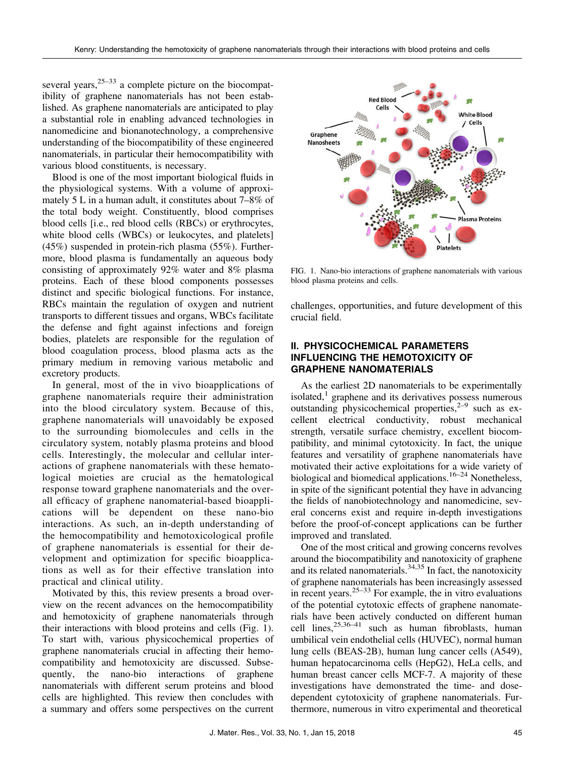several years,  $25-33$  a complete picture on the biocompatibility of graphene nanomaterials has not been established. As graphene nanomaterials are anticipated to play a substantial role in enabling advanced technologies in nanomedicine and bionanotechnology, a comprehensive understanding of the biocompatibility of these engineered nanomaterials, in particular their hemocompatibility with various blood constituents, is necessary.

Blood is one of the most important biological fluids in the physiological systems. With a volume of approximately 5 L in a human adult, it constitutes about 7–8% of the total body weight. Constituently, blood comprises blood cells [i.e., red blood cells (RBCs) or erythrocytes, white blood cells (WBCs) or leukocytes, and platelets] (45%) suspended in protein-rich plasma (55%). Furthermore, blood plasma is fundamentally an aqueous body consisting of approximately 92% water and 8% plasma proteins. Each of these blood components possesses distinct and specific biological functions. For instance, RBCs maintain the regulation of oxygen and nutrient transports to different tissues and organs, WBCs facilitate the defense and fight against infections and foreign bodies, platelets are responsible for the regulation of blood coagulation process, blood plasma acts as the primary medium in removing various metabolic and excretory products.

In general, most of the in vivo bioapplications of graphene nanomaterials require their administration into the blood circulatory system. Because of this, graphene nanomaterials will unavoidably be exposed to the surrounding biomolecules and cells in the circulatory system, notably plasma proteins and blood cells. Interestingly, the molecular and cellular interactions of graphene nanomaterials with these hematological moieties are crucial as the hematological response toward graphene nanomaterials and the overall efficacy of graphene nanomaterial-based bioapplications will be dependent on these nano-bio interactions. As such, an in-depth understanding of the hemocompatibility and hemotoxicological profile of graphene nanomaterials is essential for their development and optimization for specific bioapplications as well as for their effective translation into practical and clinical utility.

Motivated by this, this review presents a broad overview on the recent advances on the hemocompatibility and hemotoxicity of graphene nanomaterials through their interactions with blood proteins and cells (Fig. 1). To start with, various physicochemical properties of graphene nanomaterials crucial in affecting their hemocompatibility and hemotoxicity are discussed. Subsequently, the nano-bio interactions of graphene nanomaterials with different serum proteins and blood cells are highlighted. This review then concludes with a summary and offers some perspectives on the current



FIG. 1. Nano-bio interactions of graphene nanomaterials with various blood plasma proteins and cells.

challenges, opportunities, and future development of this crucial field.

#### II. PHYSICOCHEMICAL PARAMETERS INFLUENCING THE HEMOTOXICITY OF GRAPHENE NANOMATERIALS

As the earliest 2D nanomaterials to be experimentally isolated, $<sup>1</sup>$  graphene and its derivatives possess numerous</sup> outstanding physicochemical properties, $2-9$  such as excellent electrical conductivity, robust mechanical strength, versatile surface chemistry, excellent biocompatibility, and minimal cytotoxicity. In fact, the unique features and versatility of graphene nanomaterials have motivated their active exploitations for a wide variety of biological and biomedical applications.<sup>16–24</sup> Nonetheless. in spite of the significant potential they have in advancing the fields of nanobiotechnology and nanomedicine, several concerns exist and require in-depth investigations before the proof-of-concept applications can be further improved and translated.

One of the most critical and growing concerns revolves around the biocompatibility and nanotoxicity of graphene and its related nanomaterials. $34,35$  In fact, the nanotoxicity of graphene nanomaterials has been increasingly assessed in recent years. $25-33$  For example, the in vitro evaluations of the potential cytotoxic effects of graphene nanomaterials have been actively conducted on different human cell lines, $25,36-41$  such as human fibroblasts, human umbilical vein endothelial cells (HUVEC), normal human lung cells (BEAS-2B), human lung cancer cells (A549), human hepatocarcinoma cells (HepG2), HeLa cells, and human breast cancer cells MCF-7. A majority of these investigations have demonstrated the time- and dosedependent cytotoxicity of graphene nanomaterials. Furthermore, numerous in vitro experimental and theoretical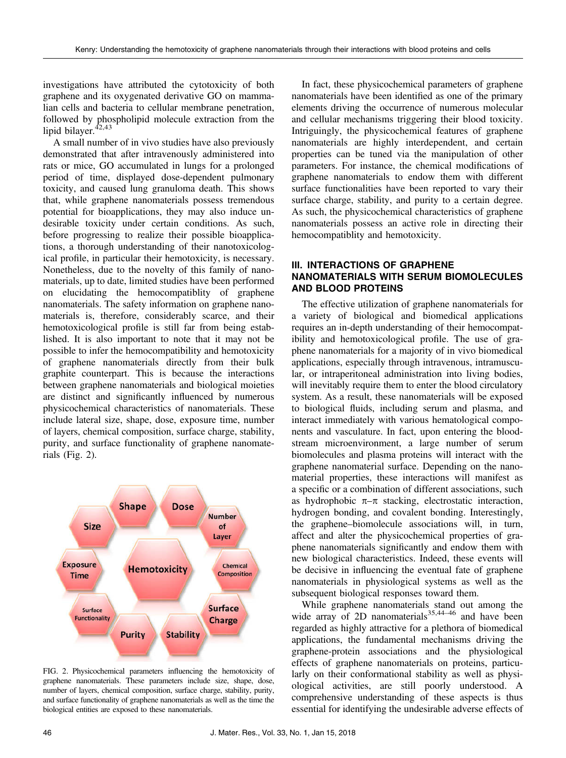investigations have attributed the cytotoxicity of both graphene and its oxygenated derivative GO on mammalian cells and bacteria to cellular membrane penetration, followed by phospholipid molecule extraction from the lipid bilayer.<sup>42,43</sup>

A small number of in vivo studies have also previously demonstrated that after intravenously administered into rats or mice, GO accumulated in lungs for a prolonged period of time, displayed dose-dependent pulmonary toxicity, and caused lung granuloma death. This shows that, while graphene nanomaterials possess tremendous potential for bioapplications, they may also induce undesirable toxicity under certain conditions. As such, before progressing to realize their possible bioapplications, a thorough understanding of their nanotoxicological profile, in particular their hemotoxicity, is necessary. Nonetheless, due to the novelty of this family of nanomaterials, up to date, limited studies have been performed on elucidating the hemocompatiblity of graphene nanomaterials. The safety information on graphene nanomaterials is, therefore, considerably scarce, and their hemotoxicological profile is still far from being established. It is also important to note that it may not be possible to infer the hemocompatibility and hemotoxicity of graphene nanomaterials directly from their bulk graphite counterpart. This is because the interactions between graphene nanomaterials and biological moieties are distinct and significantly influenced by numerous physicochemical characteristics of nanomaterials. These include lateral size, shape, dose, exposure time, number of layers, chemical composition, surface charge, stability, purity, and surface functionality of graphene nanomaterials (Fig. 2).



FIG. 2. Physicochemical parameters influencing the hemotoxicity of graphene nanomaterials. These parameters include size, shape, dose, number of layers, chemical composition, surface charge, stability, purity, and surface functionality of graphene nanomaterials as well as the time the biological entities are exposed to these nanomaterials.

In fact, these physicochemical parameters of graphene nanomaterials have been identified as one of the primary elements driving the occurrence of numerous molecular and cellular mechanisms triggering their blood toxicity. Intriguingly, the physicochemical features of graphene nanomaterials are highly interdependent, and certain properties can be tuned via the manipulation of other parameters. For instance, the chemical modifications of graphene nanomaterials to endow them with different surface functionalities have been reported to vary their surface charge, stability, and purity to a certain degree. As such, the physicochemical characteristics of graphene nanomaterials possess an active role in directing their hemocompatiblity and hemotoxicity.

### III. INTERACTIONS OF GRAPHENE NANOMATERIALS WITH SERUM BIOMOLECULES AND BLOOD PROTEINS

The effective utilization of graphene nanomaterials for a variety of biological and biomedical applications requires an in-depth understanding of their hemocompatibility and hemotoxicological profile. The use of graphene nanomaterials for a majority of in vivo biomedical applications, especially through intravenous, intramuscular, or intraperitoneal administration into living bodies, will inevitably require them to enter the blood circulatory system. As a result, these nanomaterials will be exposed to biological fluids, including serum and plasma, and interact immediately with various hematological components and vasculature. In fact, upon entering the bloodstream microenvironment, a large number of serum biomolecules and plasma proteins will interact with the graphene nanomaterial surface. Depending on the nanomaterial properties, these interactions will manifest as a specific or a combination of different associations, such as hydrophobic  $\pi-\pi$  stacking, electrostatic interaction, hydrogen bonding, and covalent bonding. Interestingly, the graphene–biomolecule associations will, in turn, affect and alter the physicochemical properties of graphene nanomaterials significantly and endow them with new biological characteristics. Indeed, these events will be decisive in influencing the eventual fate of graphene nanomaterials in physiological systems as well as the subsequent biological responses toward them.

While graphene nanomaterials stand out among the wide array of 2D nanomaterials  $35,44-46$  and have been regarded as highly attractive for a plethora of biomedical applications, the fundamental mechanisms driving the graphene-protein associations and the physiological effects of graphene nanomaterials on proteins, particularly on their conformational stability as well as physiological activities, are still poorly understood. A comprehensive understanding of these aspects is thus essential for identifying the undesirable adverse effects of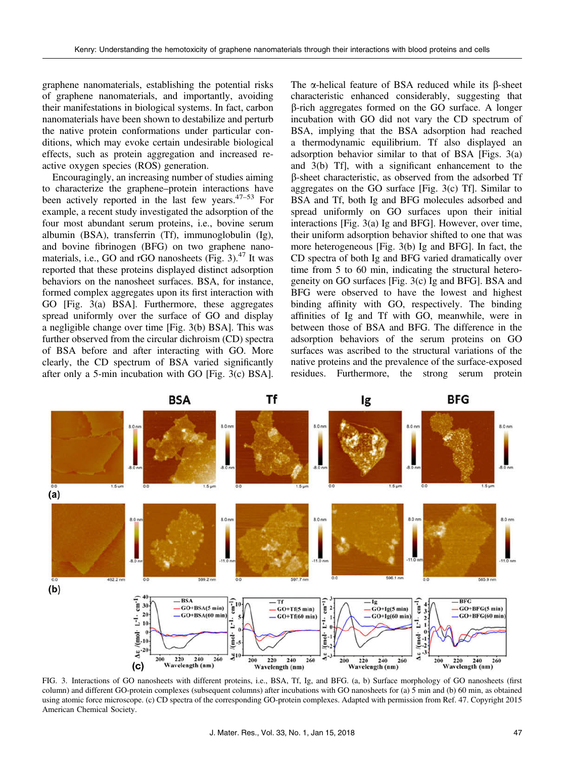graphene nanomaterials, establishing the potential risks of graphene nanomaterials, and importantly, avoiding their manifestations in biological systems. In fact, carbon nanomaterials have been shown to destabilize and perturb the native protein conformations under particular conditions, which may evoke certain undesirable biological effects, such as protein aggregation and increased reactive oxygen species (ROS) generation.

Encouragingly, an increasing number of studies aiming to characterize the graphene–protein interactions have been actively reported in the last few years.47–<sup>53</sup> For example, a recent study investigated the adsorption of the four most abundant serum proteins, i.e., bovine serum albumin (BSA), transferrin (Tf), immunoglobulin (Ig), and bovine fibrinogen (BFG) on two graphene nanomaterials, i.e., GO and rGO nanosheets  $(Fig. 3)$ .<sup>47</sup> It was reported that these proteins displayed distinct adsorption behaviors on the nanosheet surfaces. BSA, for instance, formed complex aggregates upon its first interaction with GO [Fig. 3(a) BSA]. Furthermore, these aggregates spread uniformly over the surface of GO and display a negligible change over time [Fig. 3(b) BSA]. This was further observed from the circular dichroism (CD) spectra of BSA before and after interacting with GO. More clearly, the CD spectrum of BSA varied significantly after only a 5-min incubation with GO [Fig. 3(c) BSA]. The  $\alpha$ -helical feature of BSA reduced while its  $\beta$ -sheet characteristic enhanced considerably, suggesting that b-rich aggregates formed on the GO surface. A longer incubation with GO did not vary the CD spectrum of BSA, implying that the BSA adsorption had reached a thermodynamic equilibrium. Tf also displayed an adsorption behavior similar to that of BSA [Figs. 3(a) and 3(b) Tf], with a significant enhancement to the b-sheet characteristic, as observed from the adsorbed Tf aggregates on the GO surface [Fig. 3(c) Tf]. Similar to BSA and Tf, both Ig and BFG molecules adsorbed and spread uniformly on GO surfaces upon their initial interactions [Fig. 3(a) Ig and BFG]. However, over time, their uniform adsorption behavior shifted to one that was more heterogeneous [Fig. 3(b) Ig and BFG]. In fact, the CD spectra of both Ig and BFG varied dramatically over time from 5 to 60 min, indicating the structural heterogeneity on GO surfaces [Fig. 3(c) Ig and BFG]. BSA and BFG were observed to have the lowest and highest binding affinity with GO, respectively. The binding affinities of Ig and Tf with GO, meanwhile, were in between those of BSA and BFG. The difference in the adsorption behaviors of the serum proteins on GO surfaces was ascribed to the structural variations of the native proteins and the prevalence of the surface-exposed residues. Furthermore, the strong serum protein



FIG. 3. Interactions of GO nanosheets with different proteins, i.e., BSA, Tf, Ig, and BFG. (a, b) Surface morphology of GO nanosheets (first column) and different GO-protein complexes (subsequent columns) after incubations with GO nanosheets for (a) 5 min and (b) 60 min, as obtained using atomic force microscope. (c) CD spectra of the corresponding GO-protein complexes. Adapted with permission from Ref. 47. Copyright 2015 American Chemical Society.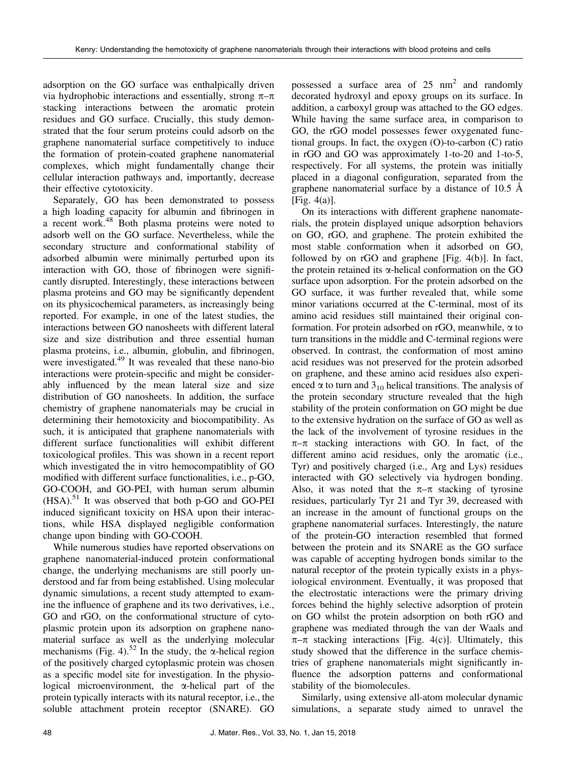adsorption on the GO surface was enthalpically driven via hydrophobic interactions and essentially, strong  $\pi-\pi$ stacking interactions between the aromatic protein residues and GO surface. Crucially, this study demonstrated that the four serum proteins could adsorb on the graphene nanomaterial surface competitively to induce the formation of protein-coated graphene nanomaterial complexes, which might fundamentally change their cellular interaction pathways and, importantly, decrease their effective cytotoxicity.

Separately, GO has been demonstrated to possess a high loading capacity for albumin and fibrinogen in a recent work.<sup>48</sup> Both plasma proteins were noted to adsorb well on the GO surface. Nevertheless, while the secondary structure and conformational stability of adsorbed albumin were minimally perturbed upon its interaction with GO, those of fibrinogen were significantly disrupted. Interestingly, these interactions between plasma proteins and GO may be significantly dependent on its physicochemical parameters, as increasingly being reported. For example, in one of the latest studies, the interactions between GO nanosheets with different lateral size and size distribution and three essential human plasma proteins, i.e., albumin, globulin, and fibrinogen, were investigated.<sup>49</sup> It was revealed that these nano-bio interactions were protein-specific and might be considerably influenced by the mean lateral size and size distribution of GO nanosheets. In addition, the surface chemistry of graphene nanomaterials may be crucial in determining their hemotoxicity and biocompatibility. As such, it is anticipated that graphene nanomaterials with different surface functionalities will exhibit different toxicological profiles. This was shown in a recent report which investigated the in vitro hemocompatiblity of GO modified with different surface functionalities, i.e., p-GO, GO-COOH, and GO-PEI, with human serum albumin  $(HSA)$ .<sup>51</sup> It was observed that both p-GO and GO-PEI induced significant toxicity on HSA upon their interactions, while HSA displayed negligible conformation change upon binding with GO-COOH.

While numerous studies have reported observations on graphene nanomaterial-induced protein conformational change, the underlying mechanisms are still poorly understood and far from being established. Using molecular dynamic simulations, a recent study attempted to examine the influence of graphene and its two derivatives, i.e., GO and rGO, on the conformational structure of cytoplasmic protein upon its adsorption on graphene nanomaterial surface as well as the underlying molecular mechanisms (Fig. 4).<sup>52</sup> In the study, the  $\alpha$ -helical region of the positively charged cytoplasmic protein was chosen as a specific model site for investigation. In the physiological microenvironment, the  $\alpha$ -helical part of the protein typically interacts with its natural receptor, i.e., the soluble attachment protein receptor (SNARE). GO possessed a surface area of  $25 \text{ nm}^2$  and randomly decorated hydroxyl and epoxy groups on its surface. In addition, a carboxyl group was attached to the GO edges. While having the same surface area, in comparison to GO, the rGO model possesses fewer oxygenated functional groups. In fact, the oxygen (O)-to-carbon (C) ratio in rGO and GO was approximately 1-to-20 and 1-to-5, respectively. For all systems, the protein was initially placed in a diagonal configuration, separated from the graphene nanomaterial surface by a distance of 10.5 Å [Fig. 4(a)].

On its interactions with different graphene nanomaterials, the protein displayed unique adsorption behaviors on GO, rGO, and graphene. The protein exhibited the most stable conformation when it adsorbed on GO, followed by on rGO and graphene [Fig. 4(b)]. In fact, the protein retained its  $\alpha$ -helical conformation on the GO surface upon adsorption. For the protein adsorbed on the GO surface, it was further revealed that, while some minor variations occurred at the C-terminal, most of its amino acid residues still maintained their original conformation. For protein adsorbed on rGO, meanwhile,  $\alpha$  to turn transitions in the middle and C-terminal regions were observed. In contrast, the conformation of most amino acid residues was not preserved for the protein adsorbed on graphene, and these amino acid residues also experienced  $\alpha$  to turn and 3<sub>10</sub> helical transitions. The analysis of the protein secondary structure revealed that the high stability of the protein conformation on GO might be due to the extensive hydration on the surface of GO as well as the lack of the involvement of tyrosine residues in the  $\pi-\pi$  stacking interactions with GO. In fact, of the different amino acid residues, only the aromatic (i.e., Tyr) and positively charged (i.e., Arg and Lys) residues interacted with GO selectively via hydrogen bonding. Also, it was noted that the  $\pi-\pi$  stacking of tyrosine residues, particularly Tyr 21 and Tyr 39, decreased with an increase in the amount of functional groups on the graphene nanomaterial surfaces. Interestingly, the nature of the protein-GO interaction resembled that formed between the protein and its SNARE as the GO surface was capable of accepting hydrogen bonds similar to the natural receptor of the protein typically exists in a physiological environment. Eventually, it was proposed that the electrostatic interactions were the primary driving forces behind the highly selective adsorption of protein on GO whilst the protein adsorption on both rGO and graphene was mediated through the van der Waals and  $\pi-\pi$  stacking interactions [Fig. 4(c)]. Ultimately, this study showed that the difference in the surface chemistries of graphene nanomaterials might significantly influence the adsorption patterns and conformational stability of the biomolecules.

Similarly, using extensive all-atom molecular dynamic simulations, a separate study aimed to unravel the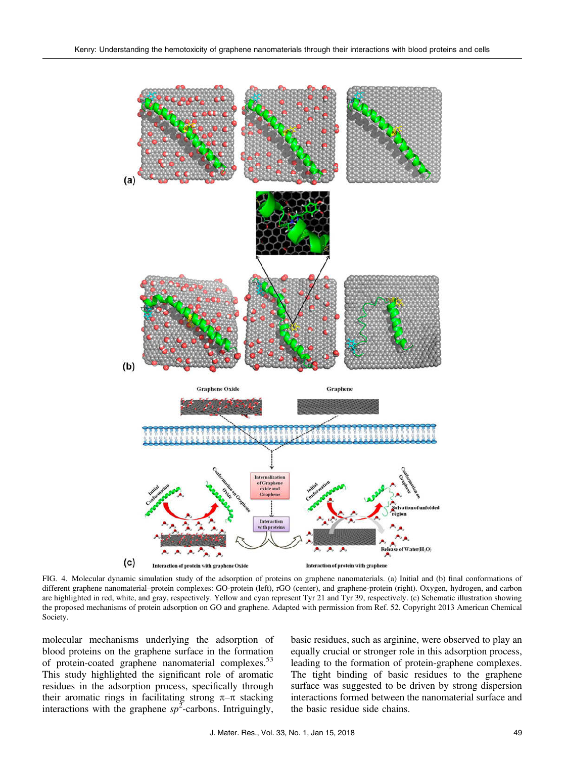

FIG. 4. Molecular dynamic simulation study of the adsorption of proteins on graphene nanomaterials. (a) Initial and (b) final conformations of different graphene nanomaterial–protein complexes: GO-protein (left), rGO (center), and graphene-protein (right). Oxygen, hydrogen, and carbon are highlighted in red, white, and gray, respectively. Yellow and cyan represent Tyr 21 and Tyr 39, respectively. (c) Schematic illustration showing the proposed mechanisms of protein adsorption on GO and graphene. Adapted with permission from Ref. 52. Copyright 2013 American Chemical Society.

molecular mechanisms underlying the adsorption of blood proteins on the graphene surface in the formation of protein-coated graphene nanomaterial complexes.<sup>53</sup> This study highlighted the significant role of aromatic residues in the adsorption process, specifically through their aromatic rings in facilitating strong  $\pi-\pi$  stacking interactions with the graphene  $sp^2$ -carbons. Intriguingly,

basic residues, such as arginine, were observed to play an equally crucial or stronger role in this adsorption process, leading to the formation of protein-graphene complexes. The tight binding of basic residues to the graphene surface was suggested to be driven by strong dispersion interactions formed between the nanomaterial surface and the basic residue side chains.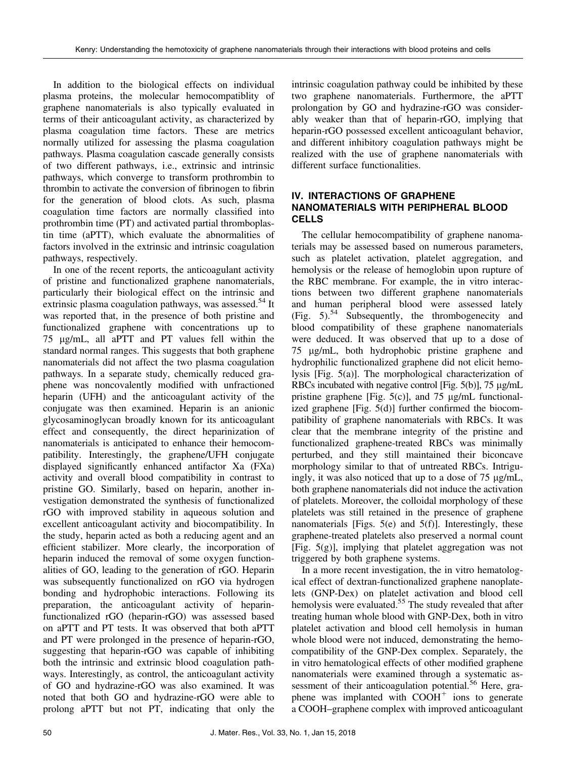In addition to the biological effects on individual plasma proteins, the molecular hemocompatiblity of graphene nanomaterials is also typically evaluated in terms of their anticoagulant activity, as characterized by plasma coagulation time factors. These are metrics normally utilized for assessing the plasma coagulation pathways. Plasma coagulation cascade generally consists of two different pathways, i.e., extrinsic and intrinsic pathways, which converge to transform prothrombin to thrombin to activate the conversion of fibrinogen to fibrin for the generation of blood clots. As such, plasma coagulation time factors are normally classified into prothrombin time (PT) and activated partial thromboplastin time (aPTT), which evaluate the abnormalities of factors involved in the extrinsic and intrinsic coagulation pathways, respectively.

In one of the recent reports, the anticoagulant activity of pristine and functionalized graphene nanomaterials, particularly their biological effect on the intrinsic and extrinsic plasma coagulation pathways, was assessed.<sup>54</sup> It was reported that, in the presence of both pristine and functionalized graphene with concentrations up to 75 lg/mL, all aPTT and PT values fell within the standard normal ranges. This suggests that both graphene nanomaterials did not affect the two plasma coagulation pathways. In a separate study, chemically reduced graphene was noncovalently modified with unfractioned heparin (UFH) and the anticoagulant activity of the conjugate was then examined. Heparin is an anionic glycosaminoglycan broadly known for its anticoagulant effect and consequently, the direct heparinization of nanomaterials is anticipated to enhance their hemocompatibility. Interestingly, the graphene/UFH conjugate displayed significantly enhanced antifactor Xa (FXa) activity and overall blood compatibility in contrast to pristine GO. Similarly, based on heparin, another investigation demonstrated the synthesis of functionalized rGO with improved stability in aqueous solution and excellent anticoagulant activity and biocompatibility. In the study, heparin acted as both a reducing agent and an efficient stabilizer. More clearly, the incorporation of heparin induced the removal of some oxygen functionalities of GO, leading to the generation of rGO. Heparin was subsequently functionalized on rGO via hydrogen bonding and hydrophobic interactions. Following its preparation, the anticoagulant activity of heparinfunctionalized rGO (heparin-rGO) was assessed based on aPTT and PT tests. It was observed that both aPTT and PT were prolonged in the presence of heparin-rGO, suggesting that heparin-rGO was capable of inhibiting both the intrinsic and extrinsic blood coagulation pathways. Interestingly, as control, the anticoagulant activity of GO and hydrazine-rGO was also examined. It was noted that both GO and hydrazine-rGO were able to prolong aPTT but not PT, indicating that only the intrinsic coagulation pathway could be inhibited by these two graphene nanomaterials. Furthermore, the aPTT prolongation by GO and hydrazine-rGO was considerably weaker than that of heparin-rGO, implying that heparin-rGO possessed excellent anticoagulant behavior, and different inhibitory coagulation pathways might be realized with the use of graphene nanomaterials with different surface functionalities.

#### IV. INTERACTIONS OF GRAPHENE NANOMATERIALS WITH PERIPHERAL BLOOD **CELLS**

The cellular hemocompatibility of graphene nanomaterials may be assessed based on numerous parameters, such as platelet activation, platelet aggregation, and hemolysis or the release of hemoglobin upon rupture of the RBC membrane. For example, the in vitro interactions between two different graphene nanomaterials and human peripheral blood were assessed lately (Fig. 5).<sup>54</sup> Subsequently, the thrombogenecity and blood compatibility of these graphene nanomaterials were deduced. It was observed that up to a dose of 75 lg/mL, both hydrophobic pristine graphene and hydrophilic functionalized graphene did not elicit hemolysis [Fig. 5(a)]. The morphological characterization of RBCs incubated with negative control [Fig.  $5(b)$ ], 75  $\mu$ g/mL pristine graphene [Fig.  $5(c)$ ], and 75  $\mu$ g/mL functionalized graphene [Fig. 5(d)] further confirmed the biocompatibility of graphene nanomaterials with RBCs. It was clear that the membrane integrity of the pristine and functionalized graphene-treated RBCs was minimally perturbed, and they still maintained their biconcave morphology similar to that of untreated RBCs. Intriguingly, it was also noticed that up to a dose of  $75 \mu g/mL$ , both graphene nanomaterials did not induce the activation of platelets. Moreover, the colloidal morphology of these platelets was still retained in the presence of graphene nanomaterials [Figs. 5(e) and 5(f)]. Interestingly, these graphene-treated platelets also preserved a normal count [Fig. 5(g)], implying that platelet aggregation was not triggered by both graphene systems.

In a more recent investigation, the in vitro hematological effect of dextran-functionalized graphene nanoplatelets (GNP-Dex) on platelet activation and blood cell hemolysis were evaluated.<sup>55</sup> The study revealed that after treating human whole blood with GNP-Dex, both in vitro platelet activation and blood cell hemolysis in human whole blood were not induced, demonstrating the hemocompatibility of the GNP-Dex complex. Separately, the in vitro hematological effects of other modified graphene nanomaterials were examined through a systematic assessment of their anticoagulation potential.<sup>56</sup> Here, graphene was implanted with  $COOH<sup>+</sup>$  ions to generate a COOH–graphene complex with improved anticoagulant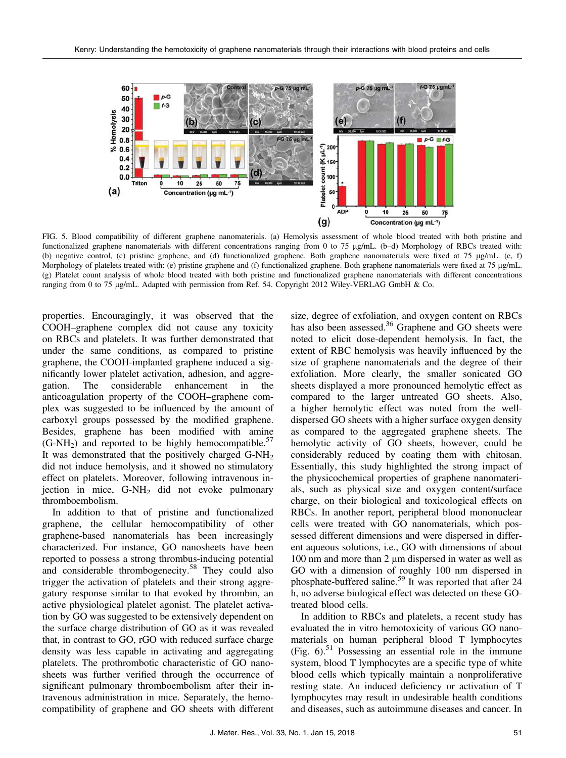

FIG. 5. Blood compatibility of different graphene nanomaterials. (a) Hemolysis assessment of whole blood treated with both pristine and functionalized graphene nanomaterials with different concentrations ranging from 0 to 75 µg/mL. (b-d) Morphology of RBCs treated with: (b) negative control, (c) pristine graphene, and (d) functionalized graphene. Both graphene nanomaterials were fixed at 75  $\mu$ g/mL. (e, f) Morphology of platelets treated with: (e) pristine graphene and (f) functionalized graphene. Both graphene nanomaterials were fixed at 75 µg/mL. (g) Platelet count analysis of whole blood treated with both pristine and functionalized graphene nanomaterials with different concentrations ranging from 0 to 75 µg/mL. Adapted with permission from Ref. 54. Copyright 2012 Wiley-VERLAG GmbH & Co.

properties. Encouragingly, it was observed that the COOH–graphene complex did not cause any toxicity on RBCs and platelets. It was further demonstrated that under the same conditions, as compared to pristine graphene, the COOH-implanted graphene induced a significantly lower platelet activation, adhesion, and aggregation. The considerable enhancement in the anticoagulation property of the COOH–graphene complex was suggested to be influenced by the amount of carboxyl groups possessed by the modified graphene. Besides, graphene has been modified with amine  $(G-NH<sub>2</sub>)$  and reported to be highly hemocompatible.<sup>57</sup> It was demonstrated that the positively charged  $G-NH<sub>2</sub>$ did not induce hemolysis, and it showed no stimulatory effect on platelets. Moreover, following intravenous injection in mice, G-NH2 did not evoke pulmonary thromboembolism.

In addition to that of pristine and functionalized graphene, the cellular hemocompatibility of other graphene-based nanomaterials has been increasingly characterized. For instance, GO nanosheets have been reported to possess a strong thrombus-inducing potential and considerable thrombogenecity.<sup>58</sup> They could also trigger the activation of platelets and their strong aggregatory response similar to that evoked by thrombin, an active physiological platelet agonist. The platelet activation by GO was suggested to be extensively dependent on the surface charge distribution of GO as it was revealed that, in contrast to GO, rGO with reduced surface charge density was less capable in activating and aggregating platelets. The prothrombotic characteristic of GO nanosheets was further verified through the occurrence of significant pulmonary thromboembolism after their intravenous administration in mice. Separately, the hemocompatibility of graphene and GO sheets with different

size, degree of exfoliation, and oxygen content on RBCs has also been assessed.<sup>36</sup> Graphene and GO sheets were noted to elicit dose-dependent hemolysis. In fact, the extent of RBC hemolysis was heavily influenced by the size of graphene nanomaterials and the degree of their exfoliation. More clearly, the smaller sonicated GO sheets displayed a more pronounced hemolytic effect as compared to the larger untreated GO sheets. Also, a higher hemolytic effect was noted from the welldispersed GO sheets with a higher surface oxygen density as compared to the aggregated graphene sheets. The hemolytic activity of GO sheets, however, could be considerably reduced by coating them with chitosan. Essentially, this study highlighted the strong impact of the physicochemical properties of graphene nanomaterials, such as physical size and oxygen content/surface charge, on their biological and toxicological effects on RBCs. In another report, peripheral blood mononuclear cells were treated with GO nanomaterials, which possessed different dimensions and were dispersed in different aqueous solutions, i.e., GO with dimensions of about  $100 \text{ nm}$  and more than  $2 \mu \text{m}$  dispersed in water as well as GO with a dimension of roughly 100 nm dispersed in phosphate-buffered saline.<sup>59</sup> It was reported that after 24 h, no adverse biological effect was detected on these GOtreated blood cells.

In addition to RBCs and platelets, a recent study has evaluated the in vitro hemotoxicity of various GO nanomaterials on human peripheral blood T lymphocytes  $(Fig. 6)$ .<sup>51</sup> Possessing an essential role in the immune system, blood T lymphocytes are a specific type of white blood cells which typically maintain a nonproliferative resting state. An induced deficiency or activation of T lymphocytes may result in undesirable health conditions and diseases, such as autoimmune diseases and cancer. In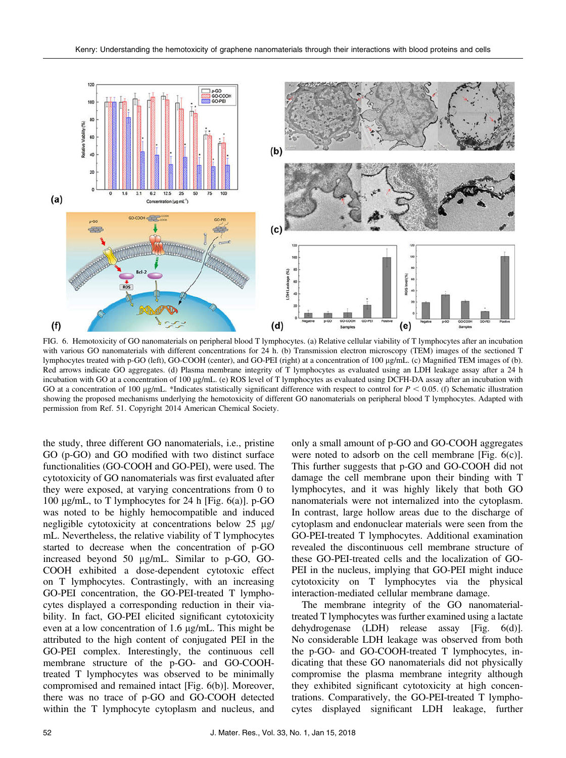

FIG. 6. Hemotoxicity of GO nanomaterials on peripheral blood T lymphocytes. (a) Relative cellular viability of T lymphocytes after an incubation with various GO nanomaterials with different concentrations for 24 h. (b) Transmission electron microscopy (TEM) images of the sectioned T lymphocytes treated with p-GO (left), GO-COOH (center), and GO-PEI (right) at a concentration of 100 lg/mL. (c) Magnified TEM images of (b). Red arrows indicate GO aggregates. (d) Plasma membrane integrity of T lymphocytes as evaluated using an LDH leakage assay after a 24 h incubation with GO at a concentration of 100  $\mu$ g/mL. (e) ROS level of T lymphocytes as evaluated using DCFH-DA assay after an incubation with GO at a concentration of 100  $\mu$ g/mL. \*Indicates statistically significant difference with respect to control for  $P < 0.05$ . (f) Schematic illustration showing the proposed mechanisms underlying the hemotoxicity of different GO nanomaterials on peripheral blood T lymphocytes. Adapted with permission from Ref. 51. Copyright 2014 American Chemical Society.

the study, three different GO nanomaterials, i.e., pristine GO (p-GO) and GO modified with two distinct surface functionalities (GO-COOH and GO-PEI), were used. The cytotoxicity of GO nanomaterials was first evaluated after they were exposed, at varying concentrations from 0 to 100  $\mu$ g/mL, to T lymphocytes for 24 h [Fig. 6(a)]. p-GO was noted to be highly hemocompatible and induced negligible cytotoxicity at concentrations below  $25 \mu g$ / mL. Nevertheless, the relative viability of T lymphocytes started to decrease when the concentration of p-GO increased beyond 50  $\mu$ g/mL. Similar to p-GO, GO-COOH exhibited a dose-dependent cytotoxic effect on T lymphocytes. Contrastingly, with an increasing GO-PEI concentration, the GO-PEI-treated T lymphocytes displayed a corresponding reduction in their viability. In fact, GO-PEI elicited significant cytotoxicity even at a low concentration of  $1.6 \mu g/mL$ . This might be attributed to the high content of conjugated PEI in the GO-PEI complex. Interestingly, the continuous cell membrane structure of the p-GO- and GO-COOHtreated T lymphocytes was observed to be minimally compromised and remained intact [Fig. 6(b)]. Moreover, there was no trace of p-GO and GO-COOH detected within the T lymphocyte cytoplasm and nucleus, and

only a small amount of p-GO and GO-COOH aggregates were noted to adsorb on the cell membrane [Fig. 6(c)]. This further suggests that p-GO and GO-COOH did not damage the cell membrane upon their binding with T lymphocytes, and it was highly likely that both GO nanomaterials were not internalized into the cytoplasm. In contrast, large hollow areas due to the discharge of cytoplasm and endonuclear materials were seen from the GO-PEI-treated T lymphocytes. Additional examination revealed the discontinuous cell membrane structure of these GO-PEI-treated cells and the localization of GO-PEI in the nucleus, implying that GO-PEI might induce cytotoxicity on T lymphocytes via the physical interaction-mediated cellular membrane damage.

The membrane integrity of the GO nanomaterialtreated T lymphocytes was further examined using a lactate dehydrogenase (LDH) release assay [Fig. 6(d)]. No considerable LDH leakage was observed from both the p-GO- and GO-COOH-treated T lymphocytes, indicating that these GO nanomaterials did not physically compromise the plasma membrane integrity although they exhibited significant cytotoxicity at high concentrations. Comparatively, the GO-PEI-treated T lymphocytes displayed significant LDH leakage, further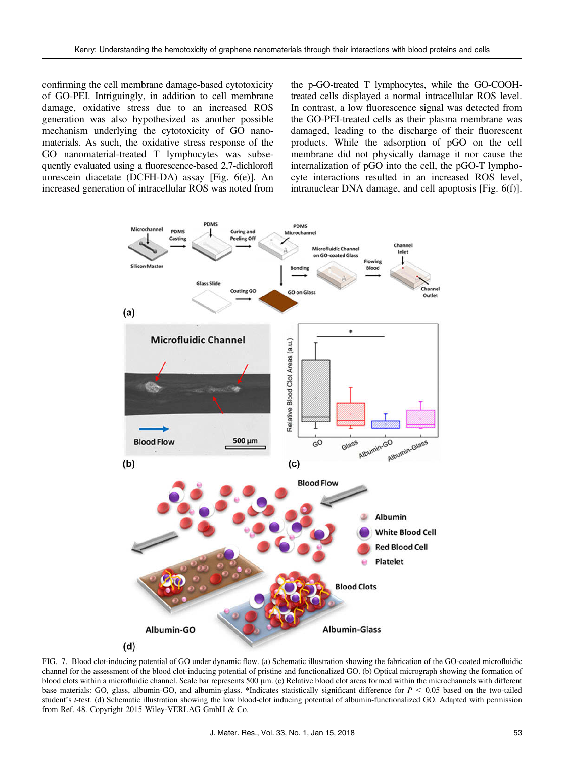confirming the cell membrane damage-based cytotoxicity of GO-PEI. Intriguingly, in addition to cell membrane damage, oxidative stress due to an increased ROS generation was also hypothesized as another possible mechanism underlying the cytotoxicity of GO nanomaterials. As such, the oxidative stress response of the GO nanomaterial-treated T lymphocytes was subsequently evaluated using a fluorescence-based 2,7-dichlorofl uorescein diacetate (DCFH-DA) assay [Fig. 6(e)]. An increased generation of intracellular ROS was noted from the p-GO-treated T lymphocytes, while the GO-COOHtreated cells displayed a normal intracellular ROS level. In contrast, a low fluorescence signal was detected from the GO-PEI-treated cells as their plasma membrane was damaged, leading to the discharge of their fluorescent products. While the adsorption of pGO on the cell membrane did not physically damage it nor cause the internalization of pGO into the cell, the pGO-T lymphocyte interactions resulted in an increased ROS level, intranuclear DNA damage, and cell apoptosis [Fig. 6(f)].



FIG. 7. Blood clot-inducing potential of GO under dynamic flow. (a) Schematic illustration showing the fabrication of the GO-coated microfluidic channel for the assessment of the blood clot-inducing potential of pristine and functionalized GO. (b) Optical micrograph showing the formation of blood clots within a microfluidic channel. Scale bar represents 500 µm. (c) Relative blood clot areas formed within the microchannels with different base materials: GO, glass, albumin-GO, and albumin-glass. \*Indicates statistically significant difference for  $P \le 0.05$  based on the two-tailed student's t-test. (d) Schematic illustration showing the low blood-clot inducing potential of albumin-functionalized GO. Adapted with permission from Ref. 48. Copyright 2015 Wiley-VERLAG GmbH & Co.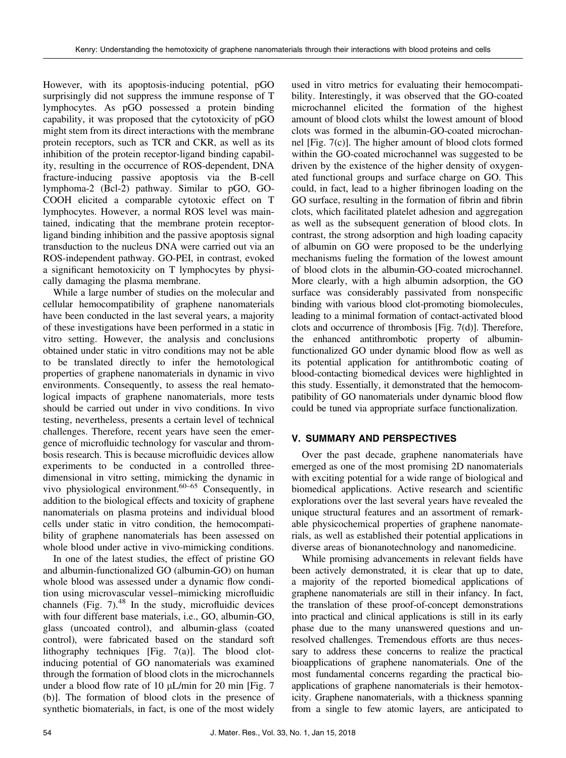However, with its apoptosis-inducing potential, pGO surprisingly did not suppress the immune response of T lymphocytes. As pGO possessed a protein binding capability, it was proposed that the cytotoxicity of pGO might stem from its direct interactions with the membrane protein receptors, such as TCR and CKR, as well as its inhibition of the protein receptor-ligand binding capability, resulting in the occurrence of ROS-dependent, DNA fracture-inducing passive apoptosis via the B-cell lymphoma-2 (Bcl-2) pathway. Similar to pGO, GO-COOH elicited a comparable cytotoxic effect on T lymphocytes. However, a normal ROS level was maintained, indicating that the membrane protein receptorligand binding inhibition and the passive apoptosis signal transduction to the nucleus DNA were carried out via an ROS-independent pathway. GO-PEI, in contrast, evoked a significant hemotoxicity on T lymphocytes by physically damaging the plasma membrane.

While a large number of studies on the molecular and cellular hemocompatibility of graphene nanomaterials have been conducted in the last several years, a majority of these investigations have been performed in a static in vitro setting. However, the analysis and conclusions obtained under static in vitro conditions may not be able to be translated directly to infer the hemotological properties of graphene nanomaterials in dynamic in vivo environments. Consequently, to assess the real hematological impacts of graphene nanomaterials, more tests should be carried out under in vivo conditions. In vivo testing, nevertheless, presents a certain level of technical challenges. Therefore, recent years have seen the emergence of microfluidic technology for vascular and thrombosis research. This is because microfluidic devices allow experiments to be conducted in a controlled threedimensional in vitro setting, mimicking the dynamic in vivo physiological environment.<sup>60–65</sup> Consequently, in addition to the biological effects and toxicity of graphene nanomaterials on plasma proteins and individual blood cells under static in vitro condition, the hemocompatibility of graphene nanomaterials has been assessed on whole blood under active in vivo-mimicking conditions.

In one of the latest studies, the effect of pristine GO and albumin-functionalized GO (albumin-GO) on human whole blood was assessed under a dynamic flow condition using microvascular vessel–mimicking microfluidic channels (Fig. 7). $48$  In the study, microfluidic devices with four different base materials, i.e., GO, albumin-GO, glass (uncoated control), and albumin-glass (coated control), were fabricated based on the standard soft lithography techniques [Fig. 7(a)]. The blood clotinducing potential of GO nanomaterials was examined through the formation of blood clots in the microchannels under a blood flow rate of 10  $\mu$ L/min for 20 min [Fig. 7 (b)]. The formation of blood clots in the presence of synthetic biomaterials, in fact, is one of the most widely

used in vitro metrics for evaluating their hemocompatibility. Interestingly, it was observed that the GO-coated microchannel elicited the formation of the highest amount of blood clots whilst the lowest amount of blood clots was formed in the albumin-GO-coated microchannel [Fig. 7(c)]. The higher amount of blood clots formed within the GO-coated microchannel was suggested to be driven by the existence of the higher density of oxygenated functional groups and surface charge on GO. This could, in fact, lead to a higher fibrinogen loading on the GO surface, resulting in the formation of fibrin and fibrin clots, which facilitated platelet adhesion and aggregation as well as the subsequent generation of blood clots. In contrast, the strong adsorption and high loading capacity of albumin on GO were proposed to be the underlying mechanisms fueling the formation of the lowest amount of blood clots in the albumin-GO-coated microchannel. More clearly, with a high albumin adsorption, the GO surface was considerably passivated from nonspecific binding with various blood clot-promoting biomolecules, leading to a minimal formation of contact-activated blood clots and occurrence of thrombosis [Fig. 7(d)]. Therefore, the enhanced antithrombotic property of albuminfunctionalized GO under dynamic blood flow as well as its potential application for antithrombotic coating of blood-contacting biomedical devices were highlighted in this study. Essentially, it demonstrated that the hemocompatibility of GO nanomaterials under dynamic blood flow could be tuned via appropriate surface functionalization.

## V. SUMMARY AND PERSPECTIVES

Over the past decade, graphene nanomaterials have emerged as one of the most promising 2D nanomaterials with exciting potential for a wide range of biological and biomedical applications. Active research and scientific explorations over the last several years have revealed the unique structural features and an assortment of remarkable physicochemical properties of graphene nanomaterials, as well as established their potential applications in diverse areas of bionanotechnology and nanomedicine.

While promising advancements in relevant fields have been actively demonstrated, it is clear that up to date, a majority of the reported biomedical applications of graphene nanomaterials are still in their infancy. In fact, the translation of these proof-of-concept demonstrations into practical and clinical applications is still in its early phase due to the many unanswered questions and unresolved challenges. Tremendous efforts are thus necessary to address these concerns to realize the practical bioapplications of graphene nanomaterials. One of the most fundamental concerns regarding the practical bioapplications of graphene nanomaterials is their hemotoxicity. Graphene nanomaterials, with a thickness spanning from a single to few atomic layers, are anticipated to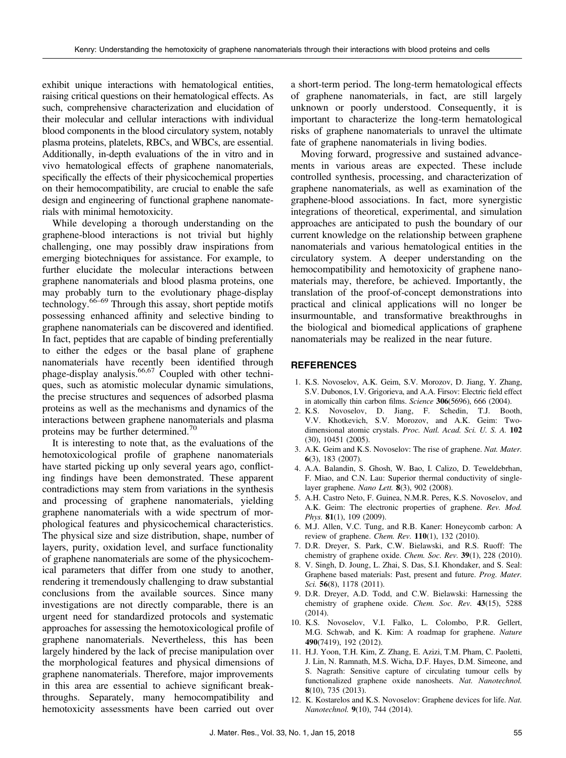exhibit unique interactions with hematological entities, raising critical questions on their hematological effects. As such, comprehensive characterization and elucidation of their molecular and cellular interactions with individual blood components in the blood circulatory system, notably plasma proteins, platelets, RBCs, and WBCs, are essential. Additionally, in-depth evaluations of the in vitro and in vivo hematological effects of graphene nanomaterials, specifically the effects of their physicochemical properties on their hemocompatibility, are crucial to enable the safe design and engineering of functional graphene nanomaterials with minimal hemotoxicity.

While developing a thorough understanding on the graphene-blood interactions is not trivial but highly challenging, one may possibly draw inspirations from emerging biotechniques for assistance. For example, to further elucidate the molecular interactions between graphene nanomaterials and blood plasma proteins, one may probably turn to the evolutionary phage-display technology.66–<sup>69</sup> Through this assay, short peptide motifs possessing enhanced affinity and selective binding to graphene nanomaterials can be discovered and identified. In fact, peptides that are capable of binding preferentially to either the edges or the basal plane of graphene nanomaterials have recently been identified through phage-display analysis.<sup>66,67</sup> Coupled with other techniques, such as atomistic molecular dynamic simulations, the precise structures and sequences of adsorbed plasma proteins as well as the mechanisms and dynamics of the interactions between graphene nanomaterials and plasma proteins may be further determined.<sup>70</sup>

It is interesting to note that, as the evaluations of the hemotoxicological profile of graphene nanomaterials have started picking up only several years ago, conflicting findings have been demonstrated. These apparent contradictions may stem from variations in the synthesis and processing of graphene nanomaterials, yielding graphene nanomaterials with a wide spectrum of morphological features and physicochemical characteristics. The physical size and size distribution, shape, number of layers, purity, oxidation level, and surface functionality of graphene nanomaterials are some of the physicochemical parameters that differ from one study to another, rendering it tremendously challenging to draw substantial conclusions from the available sources. Since many investigations are not directly comparable, there is an urgent need for standardized protocols and systematic approaches for assessing the hemotoxicological profile of graphene nanomaterials. Nevertheless, this has been largely hindered by the lack of precise manipulation over the morphological features and physical dimensions of graphene nanomaterials. Therefore, major improvements in this area are essential to achieve significant breakthroughs. Separately, many hemocompatibility and hemotoxicity assessments have been carried out over a short-term period. The long-term hematological effects of graphene nanomaterials, in fact, are still largely unknown or poorly understood. Consequently, it is important to characterize the long-term hematological risks of graphene nanomaterials to unravel the ultimate fate of graphene nanomaterials in living bodies.

Moving forward, progressive and sustained advancements in various areas are expected. These include controlled synthesis, processing, and characterization of graphene nanomaterials, as well as examination of the graphene-blood associations. In fact, more synergistic integrations of theoretical, experimental, and simulation approaches are anticipated to push the boundary of our current knowledge on the relationship between graphene nanomaterials and various hematological entities in the circulatory system. A deeper understanding on the hemocompatibility and hemotoxicity of graphene nanomaterials may, therefore, be achieved. Importantly, the translation of the proof-of-concept demonstrations into practical and clinical applications will no longer be insurmountable, and transformative breakthroughs in the biological and biomedical applications of graphene nanomaterials may be realized in the near future.

## **REFERENCES**

- 1. K.S. Novoselov, A.K. Geim, S.V. Morozov, D. Jiang, Y. Zhang, S.V. Dubonos, I.V. Grigorieva, and A.A. Firsov: Electric field effect in atomically thin carbon films. Science 306(5696), 666 (2004).
- 2. K.S. Novoselov, D. Jiang, F. Schedin, T.J. Booth, V.V. Khotkevich, S.V. Morozov, and A.K. Geim: Twodimensional atomic crystals. Proc. Natl. Acad. Sci. U. S. A. 102 (30), 10451 (2005).
- 3. A.K. Geim and K.S. Novoselov: The rise of graphene. Nat. Mater. 6(3), 183 (2007).
- 4. A.A. Balandin, S. Ghosh, W. Bao, I. Calizo, D. Teweldebrhan, F. Miao, and C.N. Lau: Superior thermal conductivity of singlelayer graphene. Nano Lett. 8(3), 902 (2008).
- 5. A.H. Castro Neto, F. Guinea, N.M.R. Peres, K.S. Novoselov, and A.K. Geim: The electronic properties of graphene. Rev. Mod. Phys. 81(1), 109 (2009).
- 6. M.J. Allen, V.C. Tung, and R.B. Kaner: Honeycomb carbon: A review of graphene. Chem. Rev. 110(1), 132 (2010).
- 7. D.R. Dreyer, S. Park, C.W. Bielawski, and R.S. Ruoff: The chemistry of graphene oxide. Chem. Soc. Rev. 39(1), 228 (2010).
- 8. V. Singh, D. Joung, L. Zhai, S. Das, S.I. Khondaker, and S. Seal: Graphene based materials: Past, present and future. Prog. Mater. Sci. **56**(8), 1178 (2011).
- 9. D.R. Dreyer, A.D. Todd, and C.W. Bielawski: Harnessing the chemistry of graphene oxide. Chem. Soc. Rev. 43(15), 5288 (2014).
- 10. K.S. Novoselov, V.I. Falko, L. Colombo, P.R. Gellert, M.G. Schwab, and K. Kim: A roadmap for graphene. Nature 490(7419), 192 (2012).
- 11. H.J. Yoon, T.H. Kim, Z. Zhang, E. Azizi, T.M. Pham, C. Paoletti, J. Lin, N. Ramnath, M.S. Wicha, D.F. Hayes, D.M. Simeone, and S. Nagrath: Sensitive capture of circulating tumour cells by functionalized graphene oxide nanosheets. Nat. Nanotechnol. 8(10), 735 (2013).
- 12. K. Kostarelos and K.S. Novoselov: Graphene devices for life. Nat. Nanotechnol. 9(10), 744 (2014).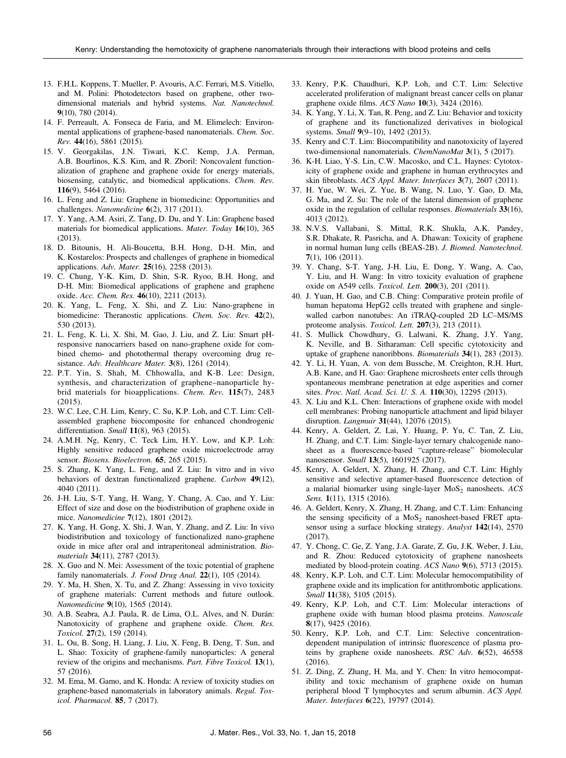- 13. F.H.L. Koppens, T. Mueller, P. Avouris, A.C. Ferrari, M.S. Vitiello, and M. Polini: Photodetectors based on graphene, other twodimensional materials and hybrid systems. Nat. Nanotechnol. 9(10), 780 (2014).
- 14. F. Perreault, A. Fonseca de Faria, and M. Elimelech: Environmental applications of graphene-based nanomaterials. Chem. Soc. Rev. 44(16), 5861 (2015).
- 15. V. Georgakilas, J.N. Tiwari, K.C. Kemp, J.A. Perman, A.B. Bourlinos, K.S. Kim, and R. Zboril: Noncovalent functionalization of graphene and graphene oxide for energy materials, biosensing, catalytic, and biomedical applications. Chem. Rev. 116(9), 5464 (2016).
- 16. L. Feng and Z. Liu: Graphene in biomedicine: Opportunities and challenges. Nanomedicine 6(2), 317 (2011).
- 17. Y. Yang, A.M. Asiri, Z. Tang, D. Du, and Y. Lin: Graphene based materials for biomedical applications. Mater. Today 16(10), 365 (2013).
- 18. D. Bitounis, H. Ali-Boucetta, B.H. Hong, D-H. Min, and K. Kostarelos: Prospects and challenges of graphene in biomedical applications. Adv. Mater. 25(16), 2258 (2013).
- 19. C. Chung, Y-K. Kim, D. Shin, S-R. Ryoo, B.H. Hong, and D-H. Min: Biomedical applications of graphene and graphene oxide. Acc. Chem. Res. 46(10), 2211 (2013).
- 20. K. Yang, L. Feng, X. Shi, and Z. Liu: Nano-graphene in biomedicine: Theranostic applications. Chem. Soc. Rev. 42(2), 530 (2013).
- 21. L. Feng, K. Li, X. Shi, M. Gao, J. Liu, and Z. Liu: Smart pHresponsive nanocarriers based on nano-graphene oxide for combined chemo- and photothermal therapy overcoming drug resistance. Adv. Healthcare Mater.  $3(8)$ , 1261 (2014).
- 22. P.T. Yin, S. Shah, M. Chhowalla, and K-B. Lee: Design, synthesis, and characterization of graphene–nanoparticle hybrid materials for bioapplications. Chem. Rev. 115(7), 2483 (2015).
- 23. W.C. Lee, C.H. Lim, Kenry, C. Su, K.P. Loh, and C.T. Lim: Cellassembled graphene biocomposite for enhanced chondrogenic differentiation. Small 11(8), 963 (2015).
- 24. A.M.H. Ng, Kenry, C. Teck Lim, H.Y. Low, and K.P. Loh: Highly sensitive reduced graphene oxide microelectrode array sensor. Biosens. Bioelectron. 65, 265 (2015).
- 25. S. Zhang, K. Yang, L. Feng, and Z. Liu: In vitro and in vivo behaviors of dextran functionalized graphene. Carbon 49(12), 4040 (2011).
- 26. J-H. Liu, S-T. Yang, H. Wang, Y. Chang, A. Cao, and Y. Liu: Effect of size and dose on the biodistribution of graphene oxide in mice. Nanomedicine 7(12), 1801 (2012).
- 27. K. Yang, H. Gong, X. Shi, J. Wan, Y. Zhang, and Z. Liu: In vivo biodistribution and toxicology of functionalized nano-graphene oxide in mice after oral and intraperitoneal administration. Biomaterials **34**(11), 2787 (2013).
- 28. X. Guo and N. Mei: Assessment of the toxic potential of graphene family nanomaterials. J. Food Drug Anal. 22(1), 105 (2014).
- 29. Y. Ma, H. Shen, X. Tu, and Z. Zhang: Assessing in vivo toxicity of graphene materials: Current methods and future outlook. Nanomedicine 9(10), 1565 (2014).
- 30. A.B. Seabra, A.J. Paula, R. de Lima, O.L. Alves, and N. Durán: Nanotoxicity of graphene and graphene oxide. Chem. Res. Toxicol. 27(2), 159 (2014).
- 31. L. Ou, B. Song, H. Liang, J. Liu, X. Feng, B. Deng, T. Sun, and L. Shao: Toxicity of graphene-family nanoparticles: A general review of the origins and mechanisms. Part. Fibre Toxicol. 13(1), 57 (2016).
- 32. M. Ema, M. Gamo, and K. Honda: A review of toxicity studies on graphene-based nanomaterials in laboratory animals. Regul. Toxicol. Pharmacol. 85, 7 (2017).
- 33. Kenry, P.K. Chaudhuri, K.P. Loh, and C.T. Lim: Selective accelerated proliferation of malignant breast cancer cells on planar graphene oxide films. ACS Nano 10(3), 3424 (2016).
- 34. K. Yang, Y. Li, X. Tan, R. Peng, and Z. Liu: Behavior and toxicity of graphene and its functionalized derivatives in biological systems. Small 9(9–10), 1492 (2013).
- 35. Kenry and C.T. Lim: Biocompatibility and nanotoxicity of layered two-dimensional nanomaterials. ChemNanoMat 3(1), 5 (2017).
- 36. K-H. Liao, Y-S. Lin, C.W. Macosko, and C.L. Haynes: Cytotoxicity of graphene oxide and graphene in human erythrocytes and skin fibroblasts. ACS Appl. Mater. Interfaces 3(7), 2607 (2011).
- 37. H. Yue, W. Wei, Z. Yue, B. Wang, N. Luo, Y. Gao, D. Ma, G. Ma, and Z. Su: The role of the lateral dimension of graphene oxide in the regulation of cellular responses. Biomaterials 33(16), 4013 (2012).
- 38. N.V.S. Vallabani, S. Mittal, R.K. Shukla, A.K. Pandey, S.R. Dhakate, R. Pasricha, and A. Dhawan: Toxicity of graphene in normal human lung cells (BEAS-2B). J. Biomed. Nanotechnol. 7(1), 106 (2011).
- 39. Y. Chang, S-T. Yang, J-H. Liu, E. Dong, Y. Wang, A. Cao, Y. Liu, and H. Wang: In vitro toxicity evaluation of graphene oxide on A549 cells. Toxicol. Lett. 200(3), 201 (2011).
- 40. J. Yuan, H. Gao, and C.B. Ching: Comparative protein profile of human hepatoma HepG2 cells treated with graphene and singlewalled carbon nanotubes: An iTRAQ-coupled 2D LC–MS/MS proteome analysis. Toxicol. Lett. 207(3), 213 (2011).
- 41. S. Mullick Chowdhury, G. Lalwani, K. Zhang, J.Y. Yang, K. Neville, and B. Sitharaman: Cell specific cytotoxicity and uptake of graphene nanoribbons. Biomaterials 34(1), 283 (2013).
- 42. Y. Li, H. Yuan, A. von dem Bussche, M. Creighton, R.H. Hurt, A.B. Kane, and H. Gao: Graphene microsheets enter cells through spontaneous membrane penetration at edge asperities and corner sites. Proc. Natl. Acad. Sci. U. S. A. 110(30), 12295 (2013).
- 43. X. Liu and K.L. Chen: Interactions of graphene oxide with model cell membranes: Probing nanoparticle attachment and lipid bilayer disruption. Langmuir 31(44), 12076 (2015).
- 44. Kenry, A. Geldert, Z. Lai, Y. Huang, P. Yu, C. Tan, Z. Liu, H. Zhang, and C.T. Lim: Single-layer ternary chalcogenide nanosheet as a fluorescence-based "capture-release" biomolecular nanosensor. Small 13(5), 1601925 (2017).
- 45. Kenry, A. Geldert, X. Zhang, H. Zhang, and C.T. Lim: Highly sensitive and selective aptamer-based fluorescence detection of a malarial biomarker using single-layer  $MoS<sub>2</sub>$  nanosheets.  $ACS$ Sens. 1(11), 1315 (2016).
- 46. A. Geldert, Kenry, X. Zhang, H. Zhang, and C.T. Lim: Enhancing the sensing specificity of a  $MoS<sub>2</sub>$  nanosheet-based FRET aptasensor using a surface blocking strategy. Analyst 142(14), 2570 (2017).
- 47. Y. Chong, C. Ge, Z. Yang, J.A. Garate, Z. Gu, J.K. Weber, J. Liu, and R. Zhou: Reduced cytotoxicity of graphene nanosheets mediated by blood-protein coating. ACS Nano 9(6), 5713 (2015).
- 48. Kenry, K.P. Loh, and C.T. Lim: Molecular hemocompatibility of graphene oxide and its implication for antithrombotic applications. Small 11(38), 5105 (2015).
- 49. Kenry, K.P. Loh, and C.T. Lim: Molecular interactions of graphene oxide with human blood plasma proteins. Nanoscale 8(17), 9425 (2016).
- 50. Kenry, K.P. Loh, and C.T. Lim: Selective concentrationdependent manipulation of intrinsic fluorescence of plasma proteins by graphene oxide nanosheets. RSC Adv. 6(52), 46558 (2016).
- 51. Z. Ding, Z. Zhang, H. Ma, and Y. Chen: In vitro hemocompatibility and toxic mechanism of graphene oxide on human peripheral blood T lymphocytes and serum albumin. ACS Appl. Mater. Interfaces 6(22), 19797 (2014).